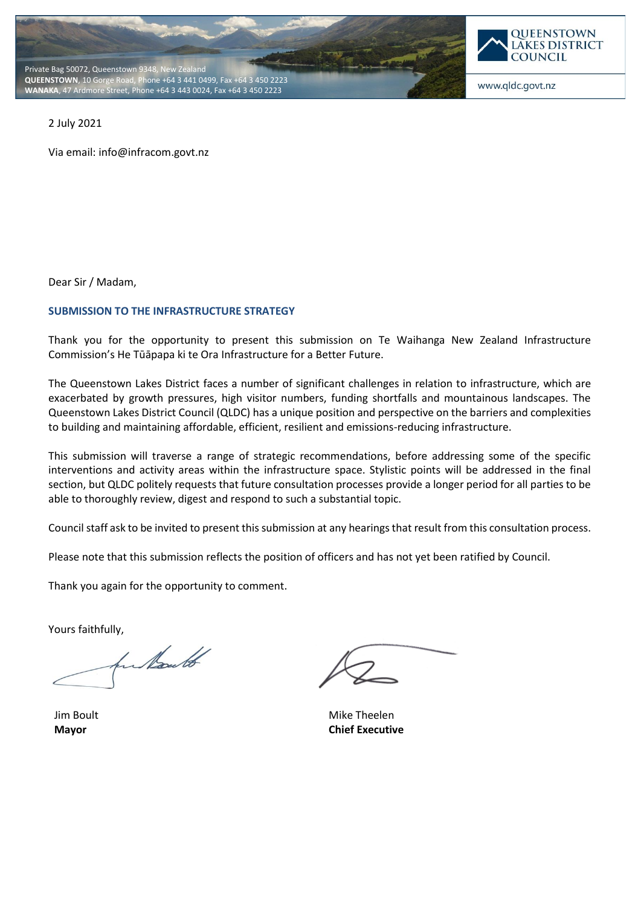



www.qldc.govt.nz

2 July 2021

Via email: info@infracom.govt.nz

Dear Sir / Madam,

### **SUBMISSION TO THE INFRASTRUCTURE STRATEGY**

Thank you for the opportunity to present this submission on Te Waihanga New Zealand Infrastructure Commission's He Tūāpapa ki te Ora Infrastructure for a Better Future.

The Queenstown Lakes District faces a number of significant challenges in relation to infrastructure, which are exacerbated by growth pressures, high visitor numbers, funding shortfalls and mountainous landscapes. The Queenstown Lakes District Council (QLDC) has a unique position and perspective on the barriers and complexities to building and maintaining affordable, efficient, resilient and emissions-reducing infrastructure.

This submission will traverse a range of strategic recommendations, before addressing some of the specific interventions and activity areas within the infrastructure space. Stylistic points will be addressed in the final section, but QLDC politely requests that future consultation processes provide a longer period for all parties to be able to thoroughly review, digest and respond to such a substantial topic.

Council staff ask to be invited to present this submission at any hearings that result from this consultation process.

Please note that this submission reflects the position of officers and has not yet been ratified by Council.

Thank you again for the opportunity to comment.

Yours faithfully,

hu Kould

Jim Boult **Mayor**

Mike Theelen **Chief Executive**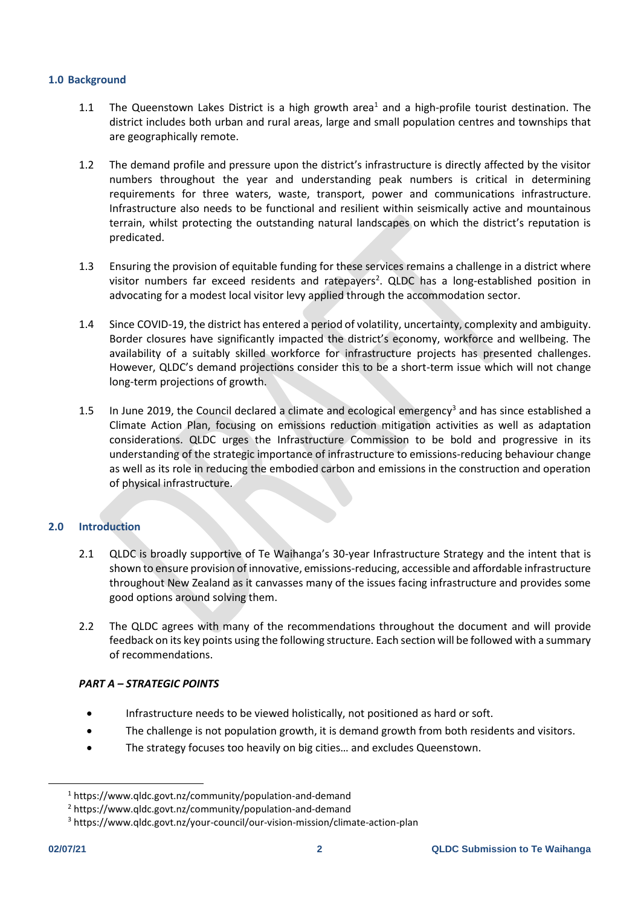### **1.0 Background**

- 1.1 The Queenstown Lakes District is a high growth area<sup>1</sup> and a high-profile tourist destination. The district includes both urban and rural areas, large and small population centres and townships that are geographically remote.
- 1.2 The demand profile and pressure upon the district's infrastructure is directly affected by the visitor numbers throughout the year and understanding peak numbers is critical in determining requirements for three waters, waste, transport, power and communications infrastructure. Infrastructure also needs to be functional and resilient within seismically active and mountainous terrain, whilst protecting the outstanding natural landscapes on which the district's reputation is predicated.
- 1.3 Ensuring the provision of equitable funding for these services remains a challenge in a district where visitor numbers far exceed residents and ratepayers<sup>2</sup>. QLDC has a long-established position in advocating for a modest local visitor levy applied through the accommodation sector.
- 1.4 Since COVID-19, the district has entered a period of volatility, uncertainty, complexity and ambiguity. Border closures have significantly impacted the district's economy, workforce and wellbeing. The availability of a suitably skilled workforce for infrastructure projects has presented challenges. However, QLDC's demand projections consider this to be a short-term issue which will not change long-term projections of growth.
- 1.5 In June 2019, the Council declared a climate and ecological emergency<sup>3</sup> and has since established a Climate Action Plan, focusing on emissions reduction mitigation activities as well as adaptation considerations. QLDC urges the Infrastructure Commission to be bold and progressive in its understanding of the strategic importance of infrastructure to emissions-reducing behaviour change as well as its role in reducing the embodied carbon and emissions in the construction and operation of physical infrastructure.

# **2.0 Introduction**

- 2.1 QLDC is broadly supportive of Te Waihanga's 30-year Infrastructure Strategy and the intent that is shown to ensure provision of innovative, emissions-reducing, accessible and affordable infrastructure throughout New Zealand as it canvasses many of the issues facing infrastructure and provides some good options around solving them.
- 2.2 The QLDC agrees with many of the recommendations throughout the document and will provide feedback on its key points using the following structure. Each section will be followed with a summary of recommendations.

### *PART A – STRATEGIC POINTS*

- Infrastructure needs to be viewed holistically, not positioned as hard or soft.
- The challenge is not population growth, it is demand growth from both residents and visitors.
- The strategy focuses too heavily on big cities... and excludes Queenstown.

<sup>1</sup> https://www.qldc.govt.nz/community/population-and-demand

<sup>2</sup> https://www.qldc.govt.nz/community/population-and-demand

<sup>3</sup> https://www.qldc.govt.nz/your-council/our-vision-mission/climate-action-plan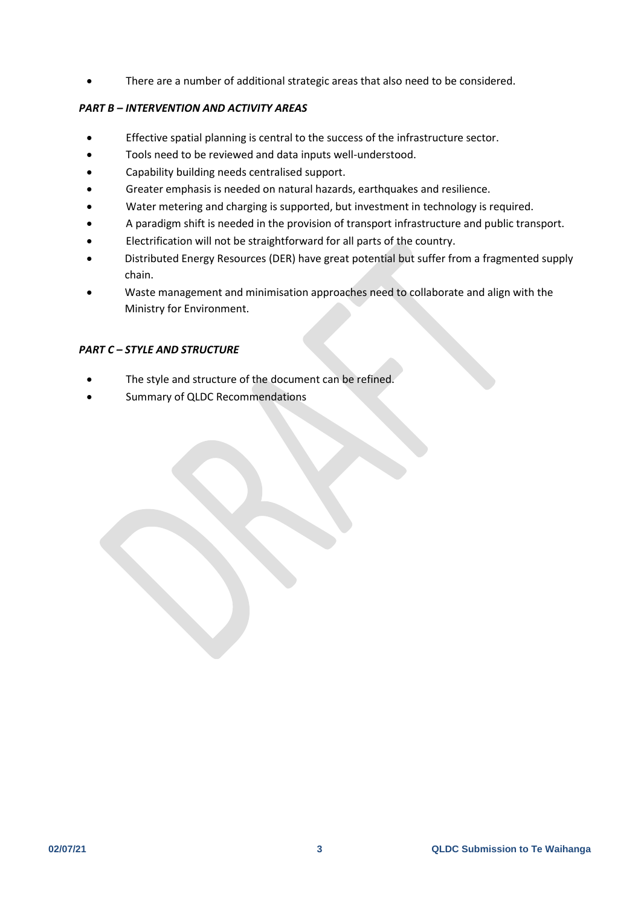There are a number of additional strategic areas that also need to be considered.

# *PART B – INTERVENTION AND ACTIVITY AREAS*

- Effective spatial planning is central to the success of the infrastructure sector.
- Tools need to be reviewed and data inputs well-understood.
- Capability building needs centralised support.
- Greater emphasis is needed on natural hazards, earthquakes and resilience.
- Water metering and charging is supported, but investment in technology is required.
- A paradigm shift is needed in the provision of transport infrastructure and public transport.
- Electrification will not be straightforward for all parts of the country.
- Distributed Energy Resources (DER) have great potential but suffer from a fragmented supply chain.
- Waste management and minimisation approaches need to collaborate and align with the Ministry for Environment.

## *PART C – STYLE AND STRUCTURE*

- The style and structure of the document can be refined.
- Summary of QLDC Recommendations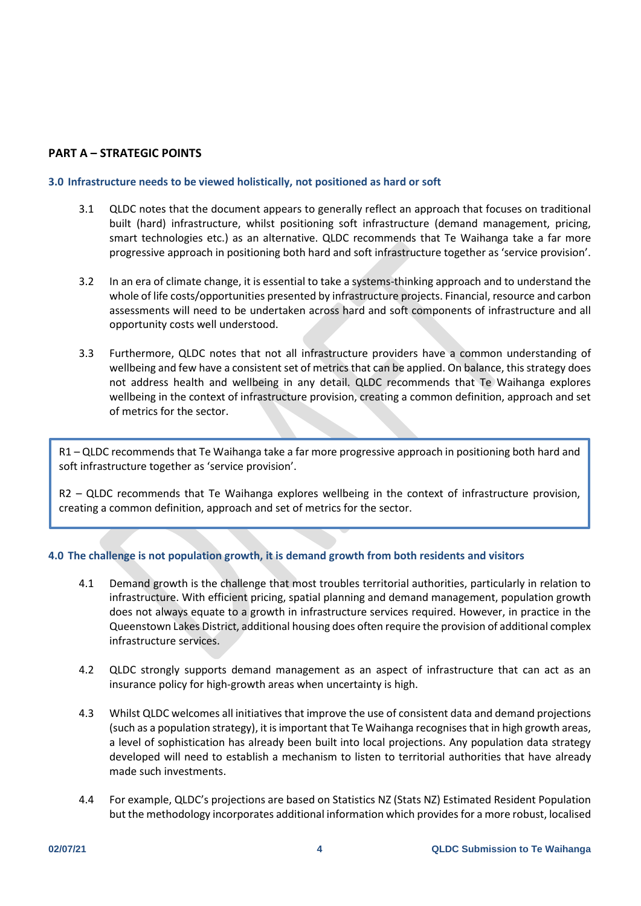# **PART A – STRATEGIC POINTS**

### **3.0 Infrastructure needs to be viewed holistically, not positioned as hard or soft**

- 3.1 QLDC notes that the document appears to generally reflect an approach that focuses on traditional built (hard) infrastructure, whilst positioning soft infrastructure (demand management, pricing, smart technologies etc.) as an alternative. QLDC recommends that Te Waihanga take a far more progressive approach in positioning both hard and soft infrastructure together as 'service provision'.
- 3.2 In an era of climate change, it is essential to take a systems-thinking approach and to understand the whole of life costs/opportunities presented by infrastructure projects. Financial, resource and carbon assessments will need to be undertaken across hard and soft components of infrastructure and all opportunity costs well understood.
- 3.3 Furthermore, QLDC notes that not all infrastructure providers have a common understanding of wellbeing and few have a consistent set of metrics that can be applied. On balance, this strategy does not address health and wellbeing in any detail. QLDC recommends that Te Waihanga explores wellbeing in the context of infrastructure provision, creating a common definition, approach and set of metrics for the sector.

R1 – QLDC recommends that Te Waihanga take a far more progressive approach in positioning both hard and soft infrastructure together as 'service provision'.

R2 – QLDC recommends that Te Waihanga explores wellbeing in the context of infrastructure provision, creating a common definition, approach and set of metrics for the sector.

# **4.0 The challenge is not population growth, it is demand growth from both residents and visitors**

- 4.1 Demand growth is the challenge that most troubles territorial authorities, particularly in relation to infrastructure. With efficient pricing, spatial planning and demand management, population growth does not always equate to a growth in infrastructure services required. However, in practice in the Queenstown Lakes District, additional housing does often require the provision of additional complex infrastructure services.
- 4.2 QLDC strongly supports demand management as an aspect of infrastructure that can act as an insurance policy for high-growth areas when uncertainty is high.
- 4.3 Whilst QLDC welcomes all initiatives that improve the use of consistent data and demand projections (such as a population strategy), it isimportant that Te Waihanga recognises that in high growth areas, a level of sophistication has already been built into local projections. Any population data strategy developed will need to establish a mechanism to listen to territorial authorities that have already made such investments.
- 4.4 For example, QLDC's projections are based on Statistics NZ (Stats NZ) Estimated Resident Population but the methodology incorporates additional information which provides for a more robust, localised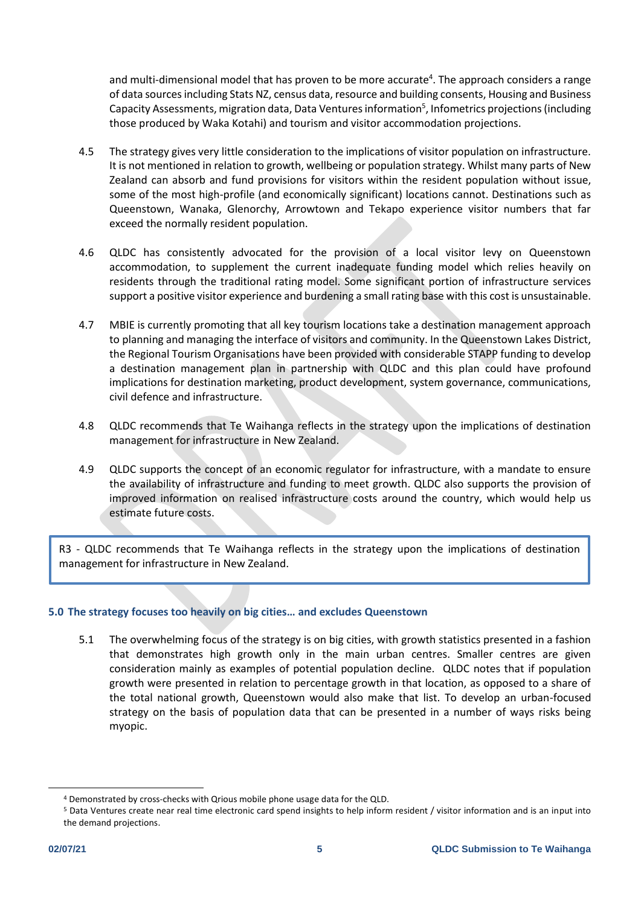and multi-dimensional model that has proven to be more accurate<sup>4</sup>. The approach considers a range of data sources including Stats NZ, census data, resource and building consents, Housing and Business Capacity Assessments, migration data, Data Ventures information<sup>5</sup>, Infometrics projections (including those produced by Waka Kotahi) and tourism and visitor accommodation projections.

- 4.5 The strategy gives very little consideration to the implications of visitor population on infrastructure. It is not mentioned in relation to growth, wellbeing or population strategy. Whilst many parts of New Zealand can absorb and fund provisions for visitors within the resident population without issue, some of the most high-profile (and economically significant) locations cannot. Destinations such as Queenstown, Wanaka, Glenorchy, Arrowtown and Tekapo experience visitor numbers that far exceed the normally resident population.
- 4.6 QLDC has consistently advocated for the provision of a local visitor levy on Queenstown accommodation, to supplement the current inadequate funding model which relies heavily on residents through the traditional rating model. Some significant portion of infrastructure services support a positive visitor experience and burdening a small rating base with this cost is unsustainable.
- 4.7 MBIE is currently promoting that all key tourism locations take a destination management approach to planning and managing the interface of visitors and community. In the Queenstown Lakes District, the Regional Tourism Organisations have been provided with considerable STAPP funding to develop a destination management plan in partnership with QLDC and this plan could have profound implications for destination marketing, product development, system governance, communications, civil defence and infrastructure.
- 4.8 QLDC recommends that Te Waihanga reflects in the strategy upon the implications of destination management for infrastructure in New Zealand.
- 4.9 QLDC supports the concept of an economic regulator for infrastructure, with a mandate to ensure the availability of infrastructure and funding to meet growth. QLDC also supports the provision of improved information on realised infrastructure costs around the country, which would help us estimate future costs.

R3 - QLDC recommends that Te Waihanga reflects in the strategy upon the implications of destination management for infrastructure in New Zealand.

# **5.0 The strategy focuses too heavily on big cities… and excludes Queenstown**

5.1 The overwhelming focus of the strategy is on big cities, with growth statistics presented in a fashion that demonstrates high growth only in the main urban centres. Smaller centres are given consideration mainly as examples of potential population decline. QLDC notes that if population growth were presented in relation to percentage growth in that location, as opposed to a share of the total national growth, Queenstown would also make that list. To develop an urban-focused strategy on the basis of population data that can be presented in a number of ways risks being myopic.

<sup>4</sup> Demonstrated by cross-checks with Qrious mobile phone usage data for the QLD.

<sup>5</sup> Data Ventures create near real time electronic card spend insights to help inform resident / visitor information and is an input into the demand projections.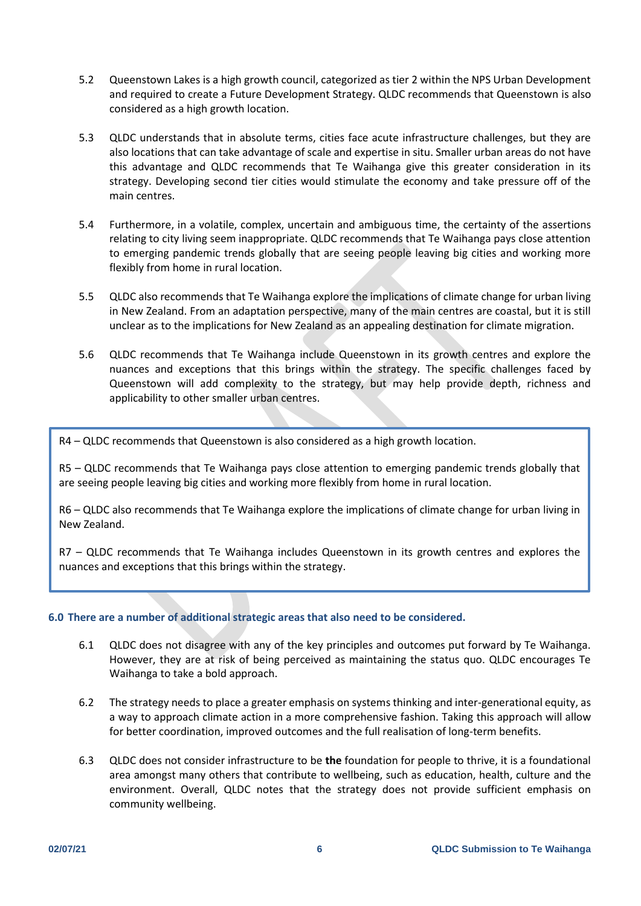- 5.2 Queenstown Lakes is a high growth council, categorized as tier 2 within the NPS Urban Development and required to create a Future Development Strategy. QLDC recommends that Queenstown is also considered as a high growth location.
- 5.3 QLDC understands that in absolute terms, cities face acute infrastructure challenges, but they are also locations that can take advantage of scale and expertise in situ. Smaller urban areas do not have this advantage and QLDC recommends that Te Waihanga give this greater consideration in its strategy. Developing second tier cities would stimulate the economy and take pressure off of the main centres.
- 5.4 Furthermore, in a volatile, complex, uncertain and ambiguous time, the certainty of the assertions relating to city living seem inappropriate. QLDC recommends that Te Waihanga pays close attention to emerging pandemic trends globally that are seeing people leaving big cities and working more flexibly from home in rural location.
- 5.5 QLDC also recommends that Te Waihanga explore the implications of climate change for urban living in New Zealand. From an adaptation perspective, many of the main centres are coastal, but it is still unclear as to the implications for New Zealand as an appealing destination for climate migration.
- 5.6 QLDC recommends that Te Waihanga include Queenstown in its growth centres and explore the nuances and exceptions that this brings within the strategy. The specific challenges faced by Queenstown will add complexity to the strategy, but may help provide depth, richness and applicability to other smaller urban centres.

R4 – QLDC recommends that Queenstown is also considered as a high growth location.

R5 – QLDC recommends that Te Waihanga pays close attention to emerging pandemic trends globally that are seeing people leaving big cities and working more flexibly from home in rural location.

R6 – QLDC also recommends that Te Waihanga explore the implications of climate change for urban living in New Zealand.

R7 – QLDC recommends that Te Waihanga includes Queenstown in its growth centres and explores the nuances and exceptions that this brings within the strategy.

### **6.0 There are a number of additional strategic areas that also need to be considered.**

- 6.1 QLDC does not disagree with any of the key principles and outcomes put forward by Te Waihanga. However, they are at risk of being perceived as maintaining the status quo. QLDC encourages Te Waihanga to take a bold approach.
- 6.2 The strategy needs to place a greater emphasis on systems thinking and inter-generational equity, as a way to approach climate action in a more comprehensive fashion. Taking this approach will allow for better coordination, improved outcomes and the full realisation of long-term benefits.
- 6.3 QLDC does not consider infrastructure to be **the** foundation for people to thrive, it is a foundational area amongst many others that contribute to wellbeing, such as education, health, culture and the environment. Overall, QLDC notes that the strategy does not provide sufficient emphasis on community wellbeing.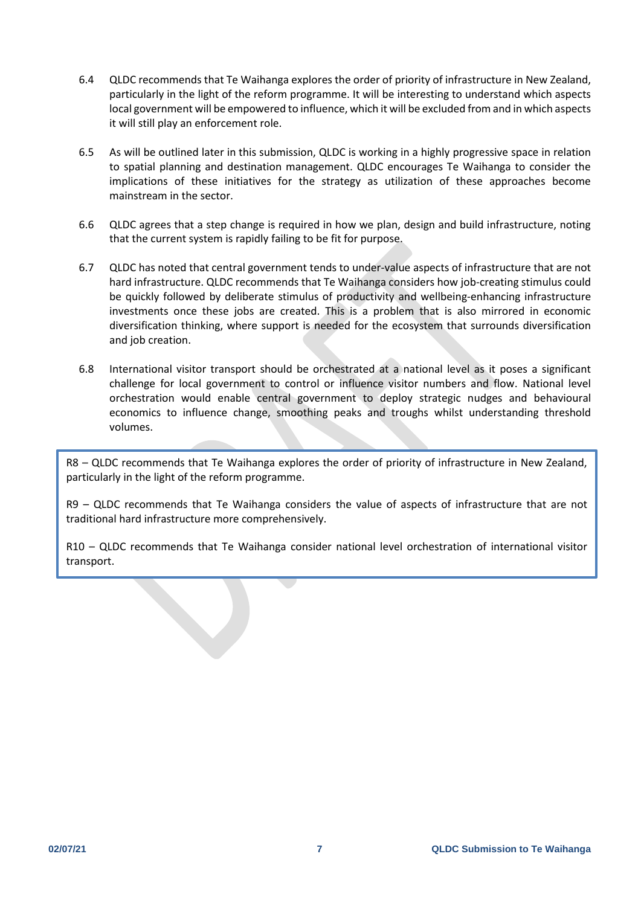- 6.4 QLDC recommends that Te Waihanga explores the order of priority of infrastructure in New Zealand, particularly in the light of the reform programme. It will be interesting to understand which aspects local government will be empowered to influence, which it will be excluded from and in which aspects it will still play an enforcement role.
- 6.5 As will be outlined later in this submission, QLDC is working in a highly progressive space in relation to spatial planning and destination management. QLDC encourages Te Waihanga to consider the implications of these initiatives for the strategy as utilization of these approaches become mainstream in the sector.
- 6.6 QLDC agrees that a step change is required in how we plan, design and build infrastructure, noting that the current system is rapidly failing to be fit for purpose.
- 6.7 QLDC has noted that central government tends to under-value aspects of infrastructure that are not hard infrastructure. QLDC recommends that Te Waihanga considers how job-creating stimulus could be quickly followed by deliberate stimulus of productivity and wellbeing-enhancing infrastructure investments once these jobs are created. This is a problem that is also mirrored in economic diversification thinking, where support is needed for the ecosystem that surrounds diversification and job creation.
- 6.8 International visitor transport should be orchestrated at a national level as it poses a significant challenge for local government to control or influence visitor numbers and flow. National level orchestration would enable central government to deploy strategic nudges and behavioural economics to influence change, smoothing peaks and troughs whilst understanding threshold volumes.

R8 – QLDC recommends that Te Waihanga explores the order of priority of infrastructure in New Zealand, particularly in the light of the reform programme.

R9 – QLDC recommends that Te Waihanga considers the value of aspects of infrastructure that are not traditional hard infrastructure more comprehensively.

R10 – QLDC recommends that Te Waihanga consider national level orchestration of international visitor transport.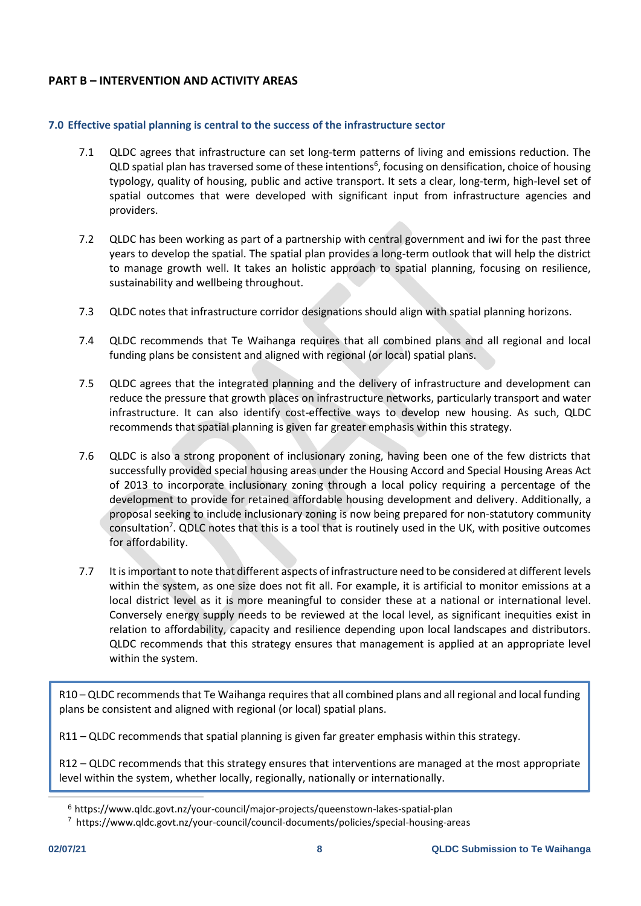# **PART B – INTERVENTION AND ACTIVITY AREAS**

## **7.0 Effective spatial planning is central to the success of the infrastructure sector**

- 7.1 QLDC agrees that infrastructure can set long-term patterns of living and emissions reduction. The QLD spatial plan has traversed some of these intentions<sup>6</sup>, focusing on densification, choice of housing typology, quality of housing, public and active transport. It sets a clear, long-term, high-level set of spatial outcomes that were developed with significant input from infrastructure agencies and providers.
- 7.2 QLDC has been working as part of a partnership with central government and iwi for the past three years to develop the spatial. The spatial plan provides a long-term outlook that will help the district to manage growth well. It takes an holistic approach to spatial planning, focusing on resilience, sustainability and wellbeing throughout.
- 7.3 QLDC notes that infrastructure corridor designations should align with spatial planning horizons.
- 7.4 QLDC recommends that Te Waihanga requires that all combined plans and all regional and local funding plans be consistent and aligned with regional (or local) spatial plans.
- 7.5 QLDC agrees that the integrated planning and the delivery of infrastructure and development can reduce the pressure that growth places on infrastructure networks, particularly transport and water infrastructure. It can also identify cost-effective ways to develop new housing. As such, QLDC recommends that spatial planning is given far greater emphasis within this strategy.
- 7.6 QLDC is also a strong proponent of inclusionary zoning, having been one of the few districts that successfully provided special housing areas under the Housing Accord and Special Housing Areas Act of 2013 to incorporate inclusionary zoning through a local policy requiring a percentage of the development to provide for retained affordable housing development and delivery. Additionally, a proposal seeking to include inclusionary zoning is now being prepared for non-statutory community consultation<sup>7</sup>. QDLC notes that this is a tool that is routinely used in the UK, with positive outcomes for affordability.
- 7.7 It is important to note that different aspects of infrastructure need to be considered at different levels within the system, as one size does not fit all. For example, it is artificial to monitor emissions at a local district level as it is more meaningful to consider these at a national or international level. Conversely energy supply needs to be reviewed at the local level, as significant inequities exist in relation to affordability, capacity and resilience depending upon local landscapes and distributors. QLDC recommends that this strategy ensures that management is applied at an appropriate level within the system.

R10 – QLDC recommends that Te Waihanga requires that all combined plans and all regional and local funding plans be consistent and aligned with regional (or local) spatial plans.

R11 – QLDC recommends that spatial planning is given far greater emphasis within this strategy.

R12 – QLDC recommends that this strategy ensures that interventions are managed at the most appropriate level within the system, whether locally, regionally, nationally or internationally.

<sup>6</sup> https://www.qldc.govt.nz/your-council/major-projects/queenstown-lakes-spatial-plan

<sup>7</sup> <https://www.qldc.govt.nz/your-council/council-documents/policies/special-housing-areas>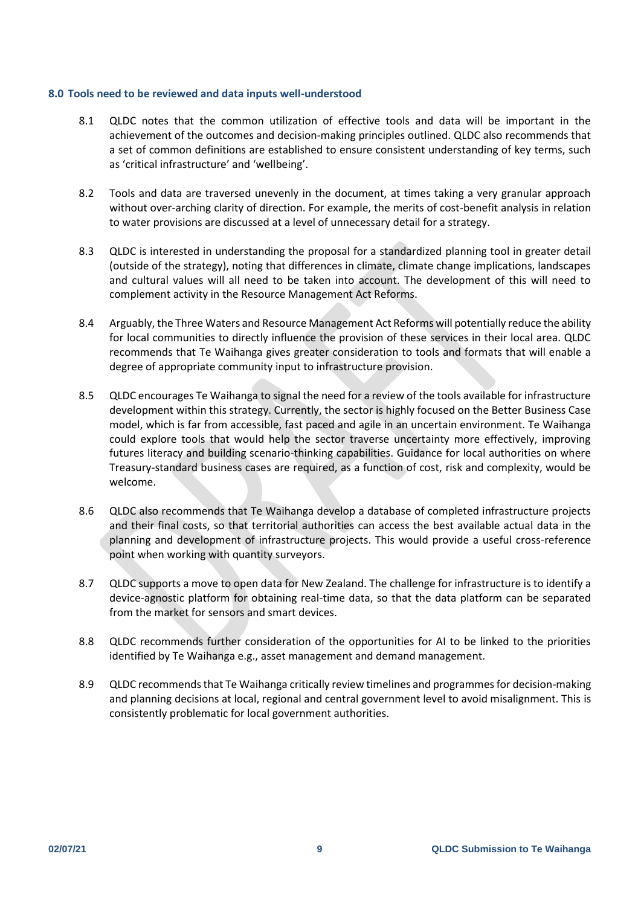#### **8.0 Tools need to be reviewed and data inputs well-understood**

- 8.1 QLDC notes that the common utilization of effective tools and data will be important in the achievement of the outcomes and decision-making principles outlined. QLDC also recommends that a set of common definitions are established to ensure consistent understanding of key terms, such as 'critical infrastructure' and 'wellbeing'.
- 8.2 Tools and data are traversed unevenly in the document, at times taking a very granular approach without over-arching clarity of direction. For example, the merits of cost-benefit analysis in relation to water provisions are discussed at a level of unnecessary detail for a strategy.
- 8.3 QLDC is interested in understanding the proposal for a standardized planning tool in greater detail (outside of the strategy), noting that differences in climate, climate change implications, landscapes and cultural values will all need to be taken into account. The development of this will need to complement activity in the Resource Management Act Reforms.
- 8.4 Arguably, the Three Waters and Resource Management Act Reforms will potentially reduce the ability for local communities to directly influence the provision of these services in their local area. QLDC recommends that Te Waihanga gives greater consideration to tools and formats that will enable a degree of appropriate community input to infrastructure provision.
- 8.5 QLDC encourages Te Waihanga to signal the need for a review of the tools available for infrastructure development within this strategy. Currently, the sector is highly focused on the Better Business Case model, which is far from accessible, fast paced and agile in an uncertain environment. Te Waihanga could explore tools that would help the sector traverse uncertainty more effectively, improving futures literacy and building scenario-thinking capabilities. Guidance for local authorities on where Treasury-standard business cases are required, as a function of cost, risk and complexity, would be welcome.
- 8.6 QLDC also recommends that Te Waihanga develop a database of completed infrastructure projects and their final costs, so that territorial authorities can access the best available actual data in the planning and development of infrastructure projects. This would provide a useful cross-reference point when working with quantity surveyors.
- 8.7 QLDC supports a move to open data for New Zealand. The challenge for infrastructure is to identify a device-agnostic platform for obtaining real-time data, so that the data platform can be separated from the market for sensors and smart devices.
- 8.8 QLDC recommends further consideration of the opportunities for AI to be linked to the priorities identified by Te Waihanga e.g., asset management and demand management.
- 8.9 QLDC recommends that Te Waihanga critically review timelines and programmes for decision-making and planning decisions at local, regional and central government level to avoid misalignment. This is consistently problematic for local government authorities.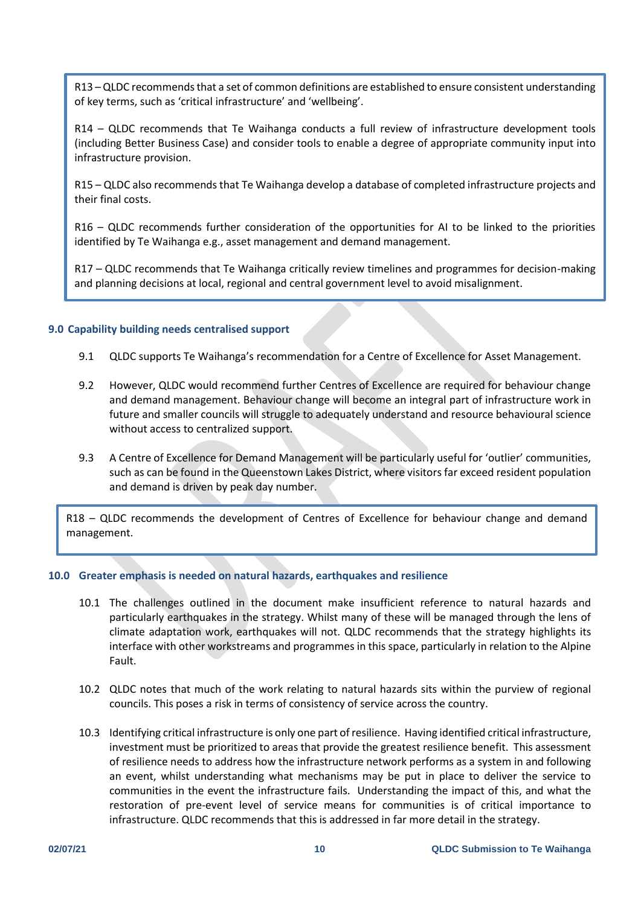R13 –QLDC recommends that a set of common definitions are established to ensure consistent understanding of key terms, such as 'critical infrastructure' and 'wellbeing'.

R14 – QLDC recommends that Te Waihanga conducts a full review of infrastructure development tools (including Better Business Case) and consider tools to enable a degree of appropriate community input into infrastructure provision.

R15 – QLDC also recommends that Te Waihanga develop a database of completed infrastructure projects and their final costs.

R16 – QLDC recommends further consideration of the opportunities for AI to be linked to the priorities identified by Te Waihanga e.g., asset management and demand management.

R17 – QLDC recommends that Te Waihanga critically review timelines and programmes for decision-making and planning decisions at local, regional and central government level to avoid misalignment.

#### **9.0 Capability building needs centralised support**

- 9.1 QLDC supports Te Waihanga's recommendation for a Centre of Excellence for Asset Management.
- 9.2 However, QLDC would recommend further Centres of Excellence are required for behaviour change and demand management. Behaviour change will become an integral part of infrastructure work in future and smaller councils will struggle to adequately understand and resource behavioural science without access to centralized support.
- 9.3 A Centre of Excellence for Demand Management will be particularly useful for 'outlier' communities, such as can be found in the Queenstown Lakes District, where visitors far exceed resident population and demand is driven by peak day number.

R18 – QLDC recommends the development of Centres of Excellence for behaviour change and demand management.

### **10.0 Greater emphasis is needed on natural hazards, earthquakes and resilience**

- 10.1 The challenges outlined in the document make insufficient reference to natural hazards and particularly earthquakes in the strategy. Whilst many of these will be managed through the lens of climate adaptation work, earthquakes will not. QLDC recommends that the strategy highlights its interface with other workstreams and programmes in this space, particularly in relation to the Alpine Fault.
- 10.2 QLDC notes that much of the work relating to natural hazards sits within the purview of regional councils. This poses a risk in terms of consistency of service across the country.
- 10.3 Identifying critical infrastructure is only one part of resilience. Having identified critical infrastructure, investment must be prioritized to areas that provide the greatest resilience benefit. This assessment of resilience needs to address how the infrastructure network performs as a system in and following an event, whilst understanding what mechanisms may be put in place to deliver the service to communities in the event the infrastructure fails. Understanding the impact of this, and what the restoration of pre-event level of service means for communities is of critical importance to infrastructure. QLDC recommends that this is addressed in far more detail in the strategy.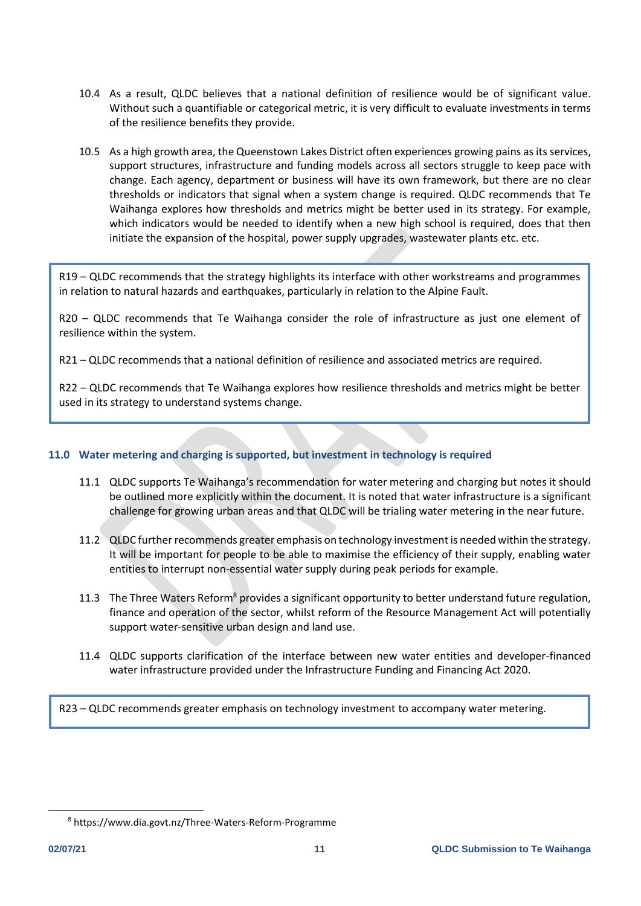- 10.4 As a result, QLDC believes that a national definition of resilience would be of significant value. Without such a quantifiable or categorical metric, it is very difficult to evaluate investments in terms of the resilience benefits they provide.
- 10.5 As a high growth area, the Queenstown Lakes District often experiences growing pains as its services, support structures, infrastructure and funding models across all sectors struggle to keep pace with change. Each agency, department or business will have its own framework, but there are no clear thresholds or indicators that signal when a system change is required. QLDC recommends that Te Waihanga explores how thresholds and metrics might be better used in its strategy. For example, which indicators would be needed to identify when a new high school is required, does that then initiate the expansion of the hospital, power supply upgrades, wastewater plants etc. etc.

R19 – QLDC recommends that the strategy highlights its interface with other workstreams and programmes in relation to natural hazards and earthquakes, particularly in relation to the Alpine Fault.

R20 – QLDC recommends that Te Waihanga consider the role of infrastructure as just one element of resilience within the system.

R21 – QLDC recommends that a national definition of resilience and associated metrics are required.

R22 – QLDC recommends that Te Waihanga explores how resilience thresholds and metrics might be better used in its strategy to understand systems change.

### **11.0 Water metering and charging is supported, but investment in technology is required**

- 11.1 QLDC supports Te Waihanga's recommendation for water metering and charging but notes it should be outlined more explicitly within the document. It is noted that water infrastructure is a significant challenge for growing urban areas and that QLDC will be trialing water metering in the near future.
- 11.2 QLDC further recommends greater emphasis on technology investment is needed within the strategy. It will be important for people to be able to maximise the efficiency of their supply, enabling water entities to interrupt non-essential water supply during peak periods for example.
- 11.3 The Three Waters Reform<sup>8</sup> provides a significant opportunity to better understand future regulation, finance and operation of the sector, whilst reform of the Resource Management Act will potentially support water-sensitive urban design and land use.
- 11.4 QLDC supports clarification of the interface between new water entities and developer-financed water infrastructure provided under the Infrastructure Funding and Financing Act 2020.

R23 – QLDC recommends greater emphasis on technology investment to accompany water metering.

<sup>8</sup> https://www.dia.govt.nz/Three-Waters-Reform-Programme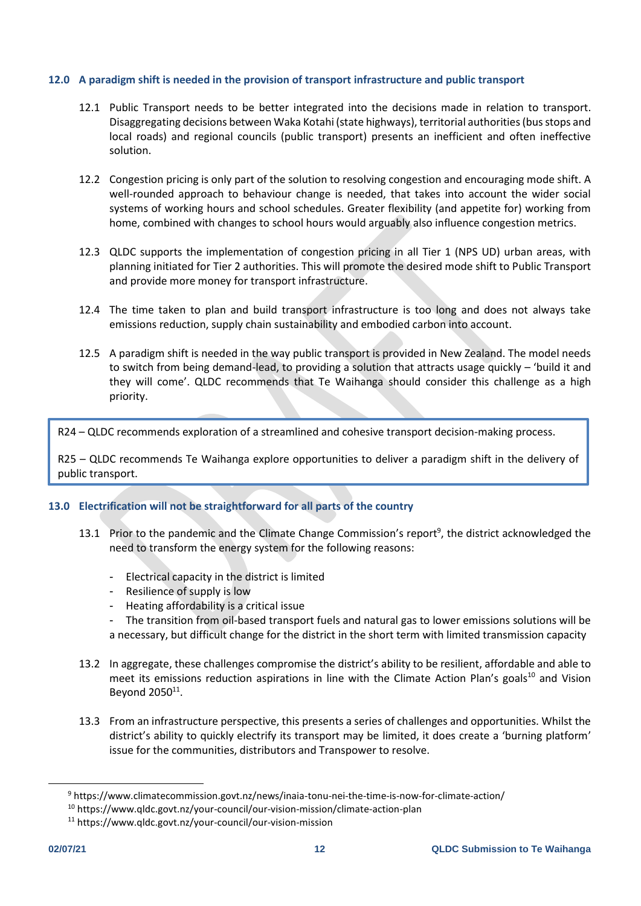### **12.0 A paradigm shift is needed in the provision of transport infrastructure and public transport**

- 12.1 Public Transport needs to be better integrated into the decisions made in relation to transport. Disaggregating decisions between Waka Kotahi (state highways), territorial authorities (bus stops and local roads) and regional councils (public transport) presents an inefficient and often ineffective solution.
- 12.2 Congestion pricing is only part of the solution to resolving congestion and encouraging mode shift. A well-rounded approach to behaviour change is needed, that takes into account the wider social systems of working hours and school schedules. Greater flexibility (and appetite for) working from home, combined with changes to school hours would arguably also influence congestion metrics.
- 12.3 QLDC supports the implementation of congestion pricing in all Tier 1 (NPS UD) urban areas, with planning initiated for Tier 2 authorities. This will promote the desired mode shift to Public Transport and provide more money for transport infrastructure.
- 12.4 The time taken to plan and build transport infrastructure is too long and does not always take emissions reduction, supply chain sustainability and embodied carbon into account.
- 12.5 A paradigm shift is needed in the way public transport is provided in New Zealand. The model needs to switch from being demand-lead, to providing a solution that attracts usage quickly – 'build it and they will come'. QLDC recommends that Te Waihanga should consider this challenge as a high priority.

R24 – QLDC recommends exploration of a streamlined and cohesive transport decision-making process.

R25 – QLDC recommends Te Waihanga explore opportunities to deliver a paradigm shift in the delivery of public transport.

# **13.0 Electrification will not be straightforward for all parts of the country**

- 13.1 Prior to the pandemic and the Climate Change Commission's report<sup>9</sup>, the district acknowledged the need to transform the energy system for the following reasons:
	- Electrical capacity in the district is limited
	- Resilience of supply is low
	- Heating affordability is a critical issue
	- The transition from oil-based transport fuels and natural gas to lower emissions solutions will be a necessary, but difficult change for the district in the short term with limited transmission capacity
- 13.2 In aggregate, these challenges compromise the district's ability to be resilient, affordable and able to meet its emissions reduction aspirations in line with the Climate Action Plan's goals<sup>10</sup> and Vision Beyond 2050<sup>11</sup>.
- 13.3 From an infrastructure perspective, this presents a series of challenges and opportunities. Whilst the district's ability to quickly electrify its transport may be limited, it does create a 'burning platform' issue for the communities, distributors and Transpower to resolve.

<sup>9</sup> https://www.climatecommission.govt.nz/news/inaia-tonu-nei-the-time-is-now-for-climate-action/

<sup>10</sup> https://www.qldc.govt.nz/your-council/our-vision-mission/climate-action-plan

<sup>11</sup> https://www.qldc.govt.nz/your-council/our-vision-mission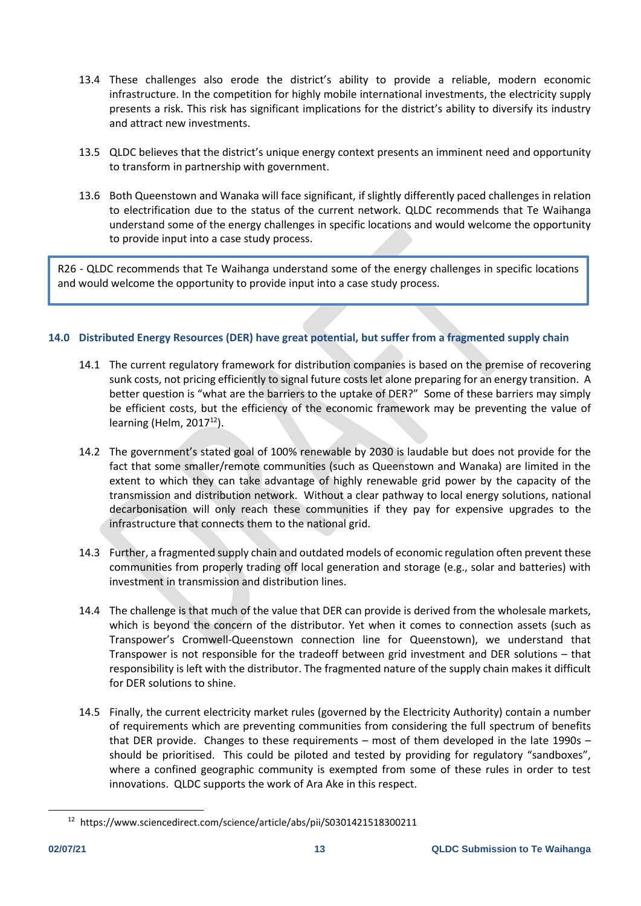- 13.4 These challenges also erode the district's ability to provide a reliable, modern economic infrastructure. In the competition for highly mobile international investments, the electricity supply presents a risk. This risk has significant implications for the district's ability to diversify its industry and attract new investments.
- 13.5 QLDC believes that the district's unique energy context presents an imminent need and opportunity to transform in partnership with government.
- 13.6 Both Queenstown and Wanaka will face significant, if slightly differently paced challenges in relation to electrification due to the status of the current network. QLDC recommends that Te Waihanga understand some of the energy challenges in specific locations and would welcome the opportunity to provide input into a case study process.

R26 - QLDC recommends that Te Waihanga understand some of the energy challenges in specific locations and would welcome the opportunity to provide input into a case study process.

# **14.0 Distributed Energy Resources (DER) have great potential, but suffer from a fragmented supply chain**

- 14.1 The current regulatory framework for distribution companies is based on the premise of recovering sunk costs, not pricing efficiently to signal future costs let alone preparing for an energy transition. A better question is "what are the barriers to the uptake of DER?" Some of these barriers may simply be efficient costs, but the efficiency of the economic framework may be preventing the value of learning (Helm,  $2017^{12}$ ).
- 14.2 The government's stated goal of 100% renewable by 2030 is laudable but does not provide for the fact that some smaller/remote communities (such as Queenstown and Wanaka) are limited in the extent to which they can take advantage of highly renewable grid power by the capacity of the transmission and distribution network. Without a clear pathway to local energy solutions, national decarbonisation will only reach these communities if they pay for expensive upgrades to the infrastructure that connects them to the national grid.
- 14.3 Further, a fragmented supply chain and outdated models of economic regulation often prevent these communities from properly trading off local generation and storage (e.g., solar and batteries) with investment in transmission and distribution lines.
- 14.4 The challenge is that much of the value that DER can provide is derived from the wholesale markets, which is beyond the concern of the distributor. Yet when it comes to connection assets (such as Transpower's Cromwell-Queenstown connection line for Queenstown), we understand that Transpower is not responsible for the tradeoff between grid investment and DER solutions – that responsibility is left with the distributor. The fragmented nature of the supply chain makes it difficult for DER solutions to shine.
- 14.5 Finally, the current electricity market rules (governed by the Electricity Authority) contain a number of requirements which are preventing communities from considering the full spectrum of benefits that DER provide. Changes to these requirements – most of them developed in the late 1990s – should be prioritised. This could be piloted and tested by providing for regulatory "sandboxes", where a confined geographic community is exempted from some of these rules in order to test innovations. QLDC supports the work of Ara Ake in this respect.

<sup>12</sup> <https://www.sciencedirect.com/science/article/abs/pii/S0301421518300211>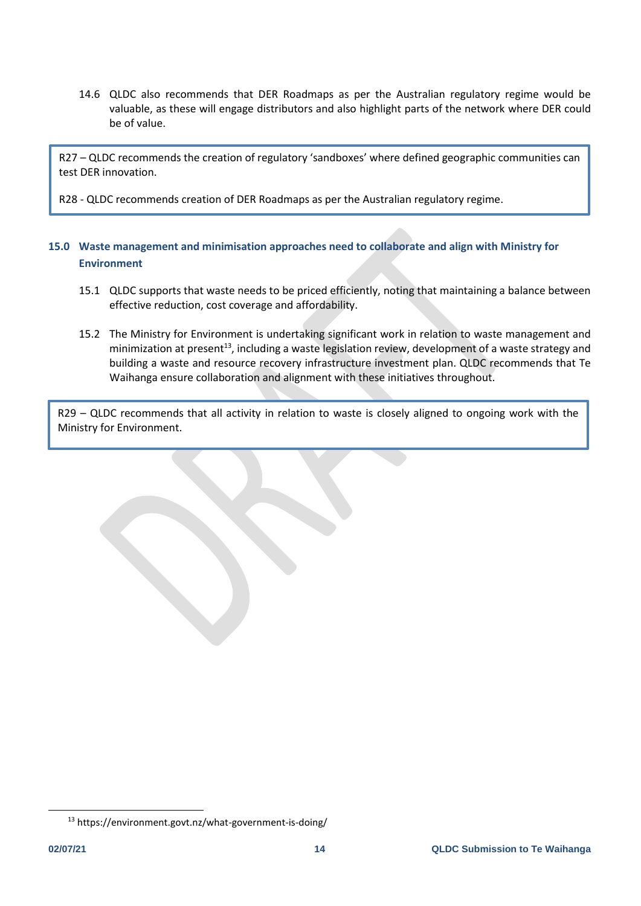14.6 QLDC also recommends that DER Roadmaps as per the Australian regulatory regime would be valuable, as these will engage distributors and also highlight parts of the network where DER could be of value.

R27 – QLDC recommends the creation of regulatory 'sandboxes' where defined geographic communities can test DER innovation.

R28 - QLDC recommends creation of DER Roadmaps as per the Australian regulatory regime.

## **15.0 Waste management and minimisation approaches need to collaborate and align with Ministry for Environment**

- 15.1 QLDC supports that waste needs to be priced efficiently, noting that maintaining a balance between effective reduction, cost coverage and affordability.
- 15.2 The Ministry for Environment is undertaking significant work in relation to waste management and minimization at present<sup>13</sup>, including a waste legislation review, development of a waste strategy and building a waste and resource recovery infrastructure investment plan. QLDC recommends that Te Waihanga ensure collaboration and alignment with these initiatives throughout.

R29 – QLDC recommends that all activity in relation to waste is closely aligned to ongoing work with the Ministry for Environment.

<sup>13</sup> https://environment.govt.nz/what-government-is-doing/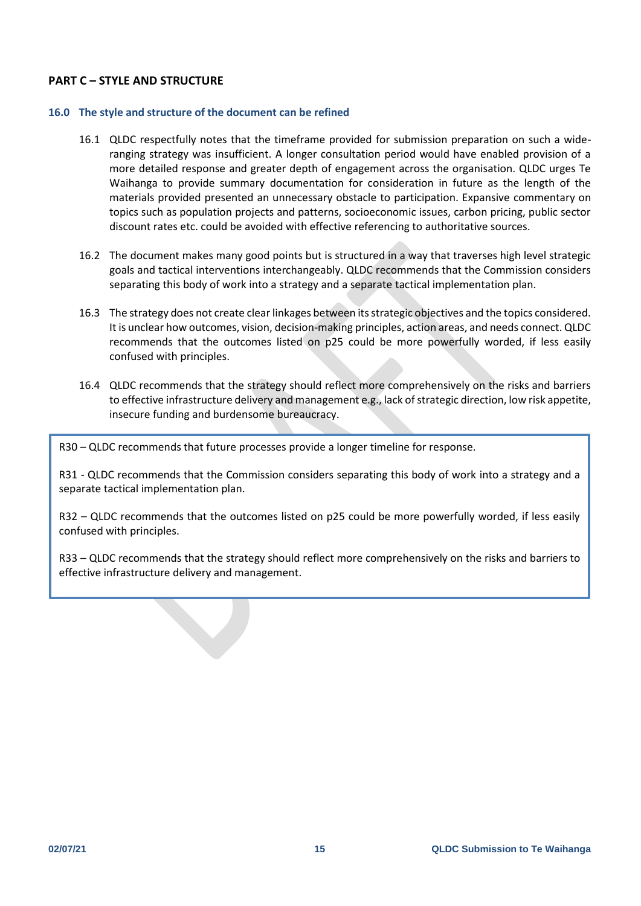## **PART C – STYLE AND STRUCTURE**

#### **16.0 The style and structure of the document can be refined**

- 16.1 QLDC respectfully notes that the timeframe provided for submission preparation on such a wideranging strategy was insufficient. A longer consultation period would have enabled provision of a more detailed response and greater depth of engagement across the organisation. QLDC urges Te Waihanga to provide summary documentation for consideration in future as the length of the materials provided presented an unnecessary obstacle to participation. Expansive commentary on topics such as population projects and patterns, socioeconomic issues, carbon pricing, public sector discount rates etc. could be avoided with effective referencing to authoritative sources.
- 16.2 The document makes many good points but is structured in a way that traverses high level strategic goals and tactical interventions interchangeably. QLDC recommends that the Commission considers separating this body of work into a strategy and a separate tactical implementation plan.
- 16.3 The strategy does not create clear linkages between its strategic objectives and the topics considered. It is unclear how outcomes, vision, decision-making principles, action areas, and needs connect. QLDC recommends that the outcomes listed on p25 could be more powerfully worded, if less easily confused with principles.
- 16.4 QLDC recommends that the strategy should reflect more comprehensively on the risks and barriers to effective infrastructure delivery and management e.g., lack of strategic direction, low risk appetite, insecure funding and burdensome bureaucracy.

R30 – QLDC recommends that future processes provide a longer timeline for response.

R31 - QLDC recommends that the Commission considers separating this body of work into a strategy and a separate tactical implementation plan.

R32 – QLDC recommends that the outcomes listed on p25 could be more powerfully worded, if less easily confused with principles.

R33 – QLDC recommends that the strategy should reflect more comprehensively on the risks and barriers to effective infrastructure delivery and management.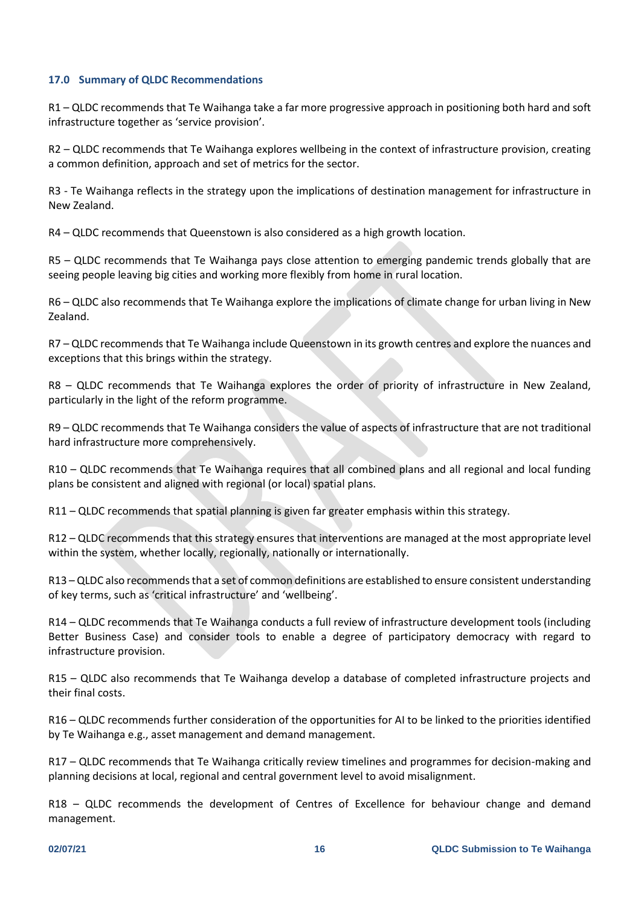### **17.0 Summary of QLDC Recommendations**

R1 – QLDC recommends that Te Waihanga take a far more progressive approach in positioning both hard and soft infrastructure together as 'service provision'.

R2 – QLDC recommends that Te Waihanga explores wellbeing in the context of infrastructure provision, creating a common definition, approach and set of metrics for the sector.

R3 - Te Waihanga reflects in the strategy upon the implications of destination management for infrastructure in New Zealand.

R4 – QLDC recommends that Queenstown is also considered as a high growth location.

R5 – QLDC recommends that Te Waihanga pays close attention to emerging pandemic trends globally that are seeing people leaving big cities and working more flexibly from home in rural location.

R6 – QLDC also recommends that Te Waihanga explore the implications of climate change for urban living in New Zealand.

R7 – QLDC recommends that Te Waihanga include Queenstown in its growth centres and explore the nuances and exceptions that this brings within the strategy.

R8 – QLDC recommends that Te Waihanga explores the order of priority of infrastructure in New Zealand, particularly in the light of the reform programme.

R9 – QLDC recommends that Te Waihanga considers the value of aspects of infrastructure that are not traditional hard infrastructure more comprehensively.

R10 – QLDC recommends that Te Waihanga requires that all combined plans and all regional and local funding plans be consistent and aligned with regional (or local) spatial plans.

R11 – QLDC recommends that spatial planning is given far greater emphasis within this strategy.

R12 – QLDC recommends that this strategy ensures that interventions are managed at the most appropriate level within the system, whether locally, regionally, nationally or internationally.

R13 – QLDC also recommends that a set of common definitions are established to ensure consistent understanding of key terms, such as 'critical infrastructure' and 'wellbeing'.

R14 – QLDC recommends that Te Waihanga conducts a full review of infrastructure development tools (including Better Business Case) and consider tools to enable a degree of participatory democracy with regard to infrastructure provision.

R15 – QLDC also recommends that Te Waihanga develop a database of completed infrastructure projects and their final costs.

R16 – QLDC recommends further consideration of the opportunities for AI to be linked to the priorities identified by Te Waihanga e.g., asset management and demand management.

R17 – QLDC recommends that Te Waihanga critically review timelines and programmes for decision-making and planning decisions at local, regional and central government level to avoid misalignment.

R18 – QLDC recommends the development of Centres of Excellence for behaviour change and demand management.